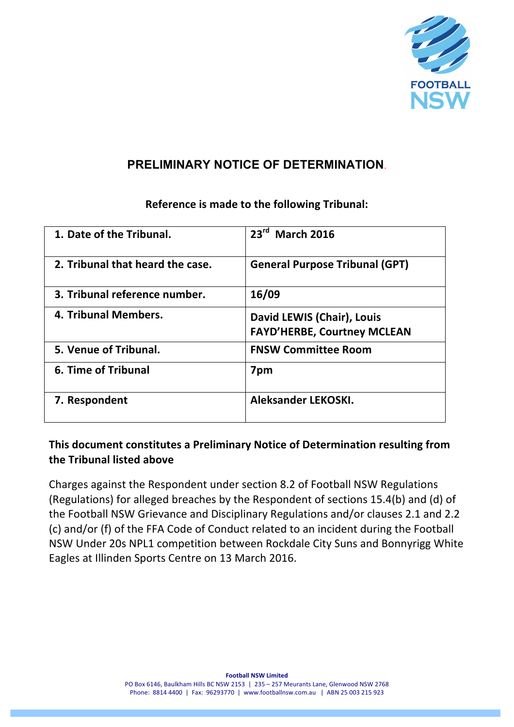

## **PRELIMINARY NOTICE OF DETERMINATION**.

# **1.** Date of the Tribunal.  $\boxed{23^{rd} \text{ March } 2016}$ **2.** Tribunal that heard the case. **General Purpose Tribunal (GPT) 3. Tribunal reference number. 16/09 4.** Tribunal Members. **David LEWIS** (Chair), Louis **FAYD'HERBE, Courtney MCLEAN 5. Venue of Tribunal. FNSW Committee Room 6.** Time of Tribunal **7pm 7.** Respondent **Aleksander LEKOSKI.**

## **Reference is made to the following Tribunal:**

## **This document constitutes a Preliminary Notice of Determination resulting from the Tribunal listed above**

Charges against the Respondent under section 8.2 of Football NSW Regulations (Regulations) for alleged breaches by the Respondent of sections  $15.4(b)$  and (d) of the Football NSW Grievance and Disciplinary Regulations and/or clauses 2.1 and 2.2 (c) and/or (f) of the FFA Code of Conduct related to an incident during the Football NSW Under 20s NPL1 competition between Rockdale City Suns and Bonnyrigg White Eagles at Illinden Sports Centre on 13 March 2016.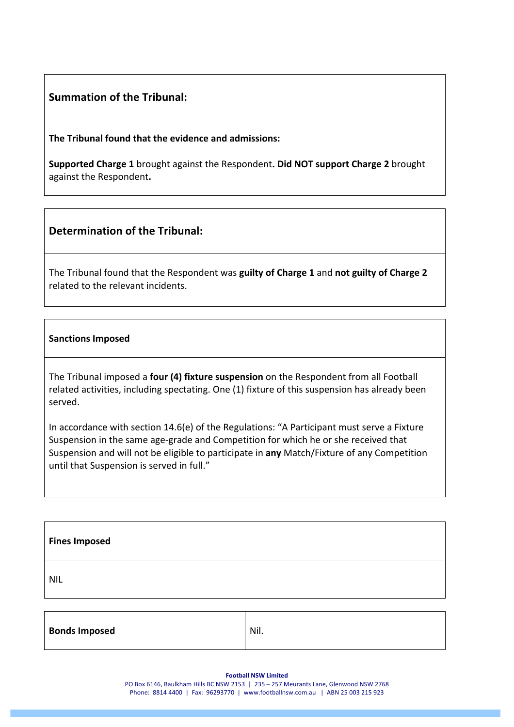### **Summation of the Tribunal:**

**The Tribunal found that the evidence and admissions:** 

**Supported Charge 1** brought against the Respondent. Did NOT support Charge 2 brought against the Respondent.

### **Determination of the Tribunal:**

The Tribunal found that the Respondent was guilty of Charge 1 and not guilty of Charge 2 related to the relevant incidents.

#### **Sanctions Imposed**

The Tribunal imposed a **four (4) fixture suspension** on the Respondent from all Football related activities, including spectating. One (1) fixture of this suspension has already been served.

In accordance with section 14.6(e) of the Regulations: "A Participant must serve a Fixture Suspension in the same age-grade and Competition for which he or she received that Suspension and will not be eligible to participate in any Match/Fixture of any Competition until that Suspension is served in full."

| <b>Fines Imposed</b> |  |
|----------------------|--|
| <b>NIL</b>           |  |
|                      |  |

| <b>Bonds Imposed</b> | Nil. |
|----------------------|------|
|                      |      |

**Football NSW Limited** 

PO Box 6146, Baulkham Hills BC NSW 2153 | 235 - 257 Meurants Lane, Glenwood NSW 2768 Phone: 8814 4400 | Fax: 96293770 | www.footballnsw.com.au | ABN 25 003 215 923